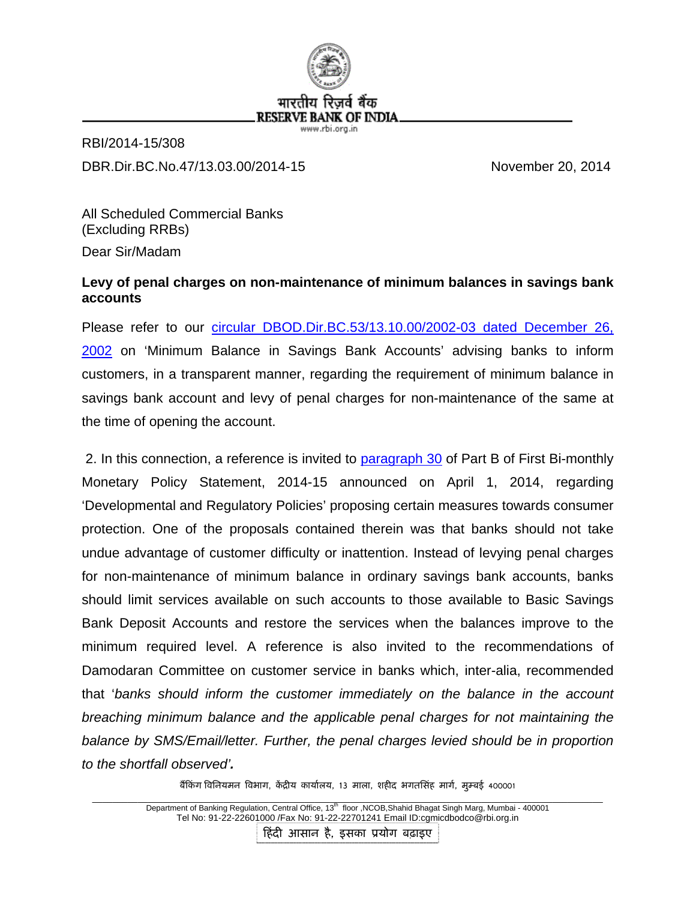

RBI/2014-15/308 DBR.Dir.BC.No.47/13.03.00/2014-15 November 20, 2014

All Scheduled Commercial Banks (Excluding RRBs) Dear Sir/Madam

## **Levy of penal charges on non-maintenance of minimum balances in savings bank accounts**

Please refer to our [circular DBOD.Dir.BC.53/13.10.00/2002-03 dated December 26,](http://www.rbi.org.in/scripts/NotificationUser.aspx?Id=1022&Mode=0)  [2002](http://www.rbi.org.in/scripts/NotificationUser.aspx?Id=1022&Mode=0) on 'Minimum Balance in Savings Bank Accounts' advising banks to inform customers, in a transparent manner, regarding the requirement of minimum balance in savings bank account and levy of penal charges for non-maintenance of the same at the time of opening the account.

 2. In this connection, a reference is invited to [paragraph 30](http://www.rbi.org.in/scripts/BS_PressReleaseDisplay.aspx?prid=30911#p30) of Part B of First Bi-monthly Monetary Policy Statement, 2014-15 announced on April 1, 2014, regarding 'Developmental and Regulatory Policies' proposing certain measures towards consumer protection. One of the proposals contained therein was that banks should not take undue advantage of customer difficulty or inattention. Instead of levying penal charges for non-maintenance of minimum balance in ordinary savings bank accounts, banks should limit services available on such accounts to those available to Basic Savings Bank Deposit Accounts and restore the services when the balances improve to the minimum required level. A reference is also invited to the recommendations of Damodaran Committee on customer service in banks which, inter-alia, recommended that '*banks should inform the customer immediately on the balance in the account breaching minimum balance and the applicable penal charges for not maintaining the balance by SMS/Email/letter. Further, the penal charges levied should be in proportion to the shortfall observed'.*

बैंकिंग विनियमन विभाग, केंद्रीय कार्यालय, 13 माला, शहीद भगतसिंह मार्ग, मुम्बई 400001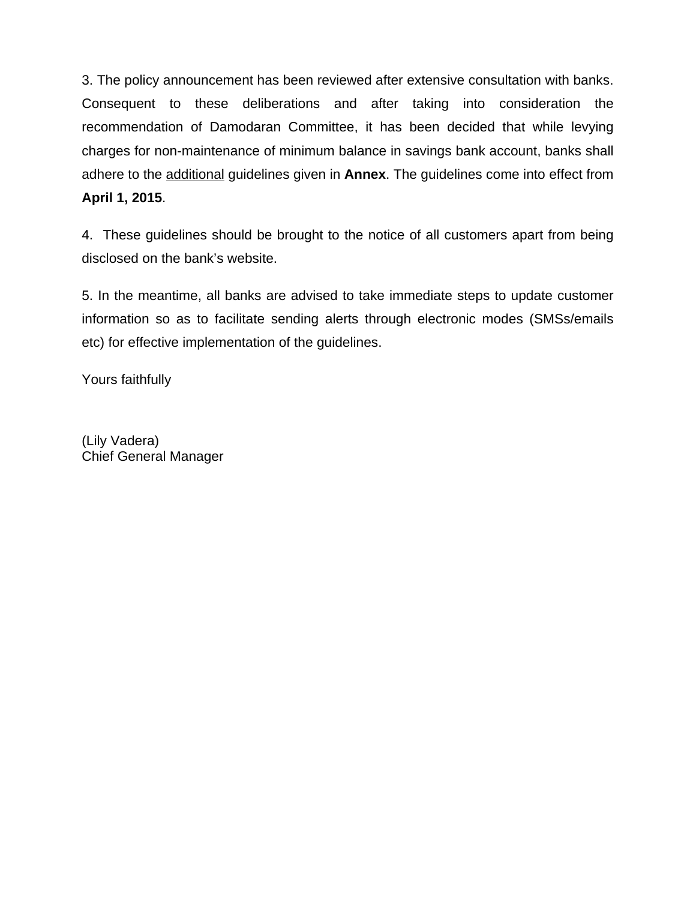3. The policy announcement has been reviewed after extensive consultation with banks. Consequent to these deliberations and after taking into consideration the recommendation of Damodaran Committee, it has been decided that while levying charges for non-maintenance of minimum balance in savings bank account, banks shall adhere to the additional guidelines given in **Annex**. The guidelines come into effect from **April 1, 2015**.

4. These guidelines should be brought to the notice of all customers apart from being disclosed on the bank's website.

5. In the meantime, all banks are advised to take immediate steps to update customer information so as to facilitate sending alerts through electronic modes (SMSs/emails etc) for effective implementation of the guidelines.

Yours faithfully

(Lily Vadera) Chief General Manager